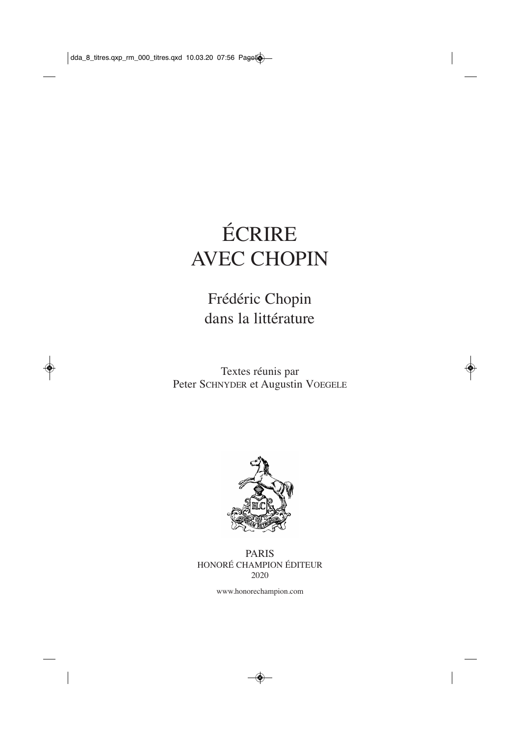# ÉCRIRE AVEC CHOPIN

### Frédéric Chopin dans la littérature

Textes réunis par Peter SCHNYDER et Augustin VOEGELE



PARIS HONORÉ CHAMPION ÉDITEUR 2020

www.honorechampion.com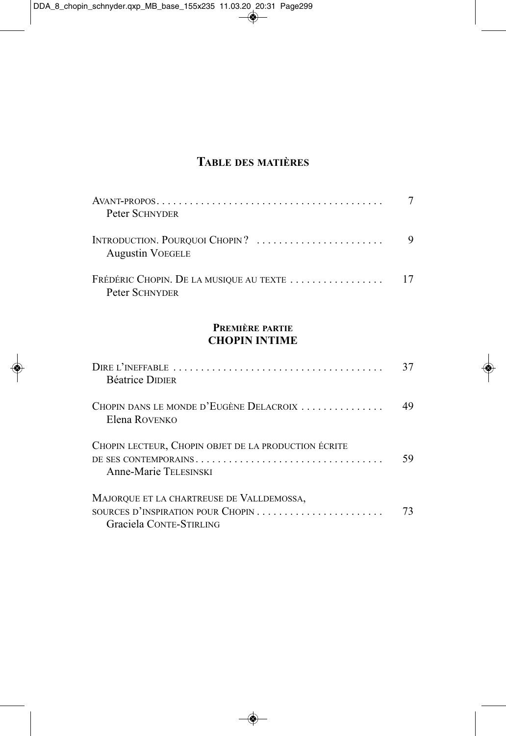### **tAble des mAtIères**

| Peter SCHNYDER                                            |   |
|-----------------------------------------------------------|---|
| INTRODUCTION. POURQUOI CHOPIN?<br><b>Augustin VOEGELE</b> | 9 |
| Peter SCHNYDER                                            |   |

#### **premIère pArtIe chopIn IntIme**

| <b>Béatrice DIDIER</b>                                                                                    | 37 |
|-----------------------------------------------------------------------------------------------------------|----|
| CHOPIN DANS LE MONDE D'EUGÈNE DELACROIX<br>Elena ROVENKO                                                  | 49 |
| CHOPIN LECTEUR, CHOPIN OBJET DE LA PRODUCTION ÉCRITE<br>Anne-Marie TELESINSKI                             | 59 |
| MAJORQUE ET LA CHARTREUSE DE VALLDEMOSSA,<br>SOURCES D'INSPIRATION POUR CHOPIN<br>Graciela CONTE-STIRLING | 73 |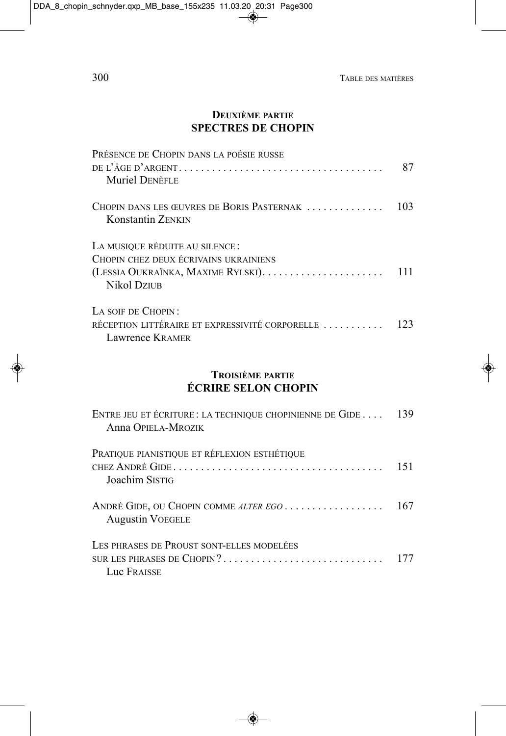#### **DEUXIÈME PARTIE SPECTRES DE CHOPIN**

| PRÉSENCE DE CHOPIN DANS LA POÉSIE RUSSE<br><b>Muriel DENÈFLE</b>                         | 87  |
|------------------------------------------------------------------------------------------|-----|
| CHOPIN DANS LES ŒUVRES DE BORIS PASTERNAK<br><b>Konstantin ZENKIN</b>                    | 103 |
| LA MUSIQUE RÉDUITE AU SILENCE:<br>CHOPIN CHEZ DEUX ÉCRIVAINS UKRAINIENS<br>Nikol Dziub   | 111 |
| LA SOIF DE CHOPIN:<br>RÉCEPTION LITTÉRAIRE ET EXPRESSIVITÉ CORPORELLE<br>Lawrence KRAMER | 123 |

#### TROISIÈME PARTIE **ÉCRIRE SELON CHOPIN**

| ENTRE JEU ET ÉCRITURE : LA TECHNIQUE CHOPINIENNE DE GIDE  139<br>Anna OPIELA-MROZIK    |     |
|----------------------------------------------------------------------------------------|-----|
| PRATIQUE PIANISTIQUE ET RÉFLEXION ESTHÉTIQUE<br>Joachim Sistig                         | 151 |
| ANDRÉ GIDE, OU CHOPIN COMME ALTER EGO<br><b>Augustin VOEGELE</b>                       | 167 |
| LES PHRASES DE PROUST SONT-ELLES MODELÉES<br>SUR LES PHRASES DE CHOPIN?<br>Luc FRAISSE | 177 |